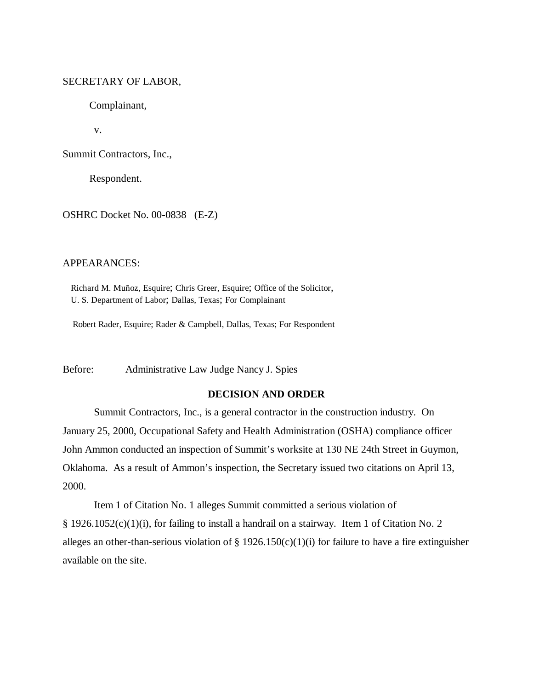# SECRETARY OF LABOR,

Complainant,

v.

Summit Contractors, Inc.,

Respondent.

OSHRC Docket No. 00-0838 (E-Z)

### APPEARANCES:

 Richard M. Muñoz, Esquire; Chris Greer, Esquire; Office of the Solicitor, U. S. Department of Labor; Dallas, Texas; For Complainant

Robert Rader, Esquire; Rader & Campbell, Dallas, Texas; For Respondent

Before: Administrative Law Judge Nancy J. Spies

# **DECISION AND ORDER**

Summit Contractors, Inc., is a general contractor in the construction industry. On January 25, 2000, Occupational Safety and Health Administration (OSHA) compliance officer John Ammon conducted an inspection of Summit's worksite at 130 NE 24th Street in Guymon, Oklahoma. As a result of Ammon's inspection, the Secretary issued two citations on April 13, 2000.

Item 1 of Citation No. 1 alleges Summit committed a serious violation of § 1926.1052(c)(1)(i), for failing to install a handrail on a stairway. Item 1 of Citation No. 2 alleges an other-than-serious violation of  $\S 1926.150(c)(1)(i)$  for failure to have a fire extinguisher available on the site.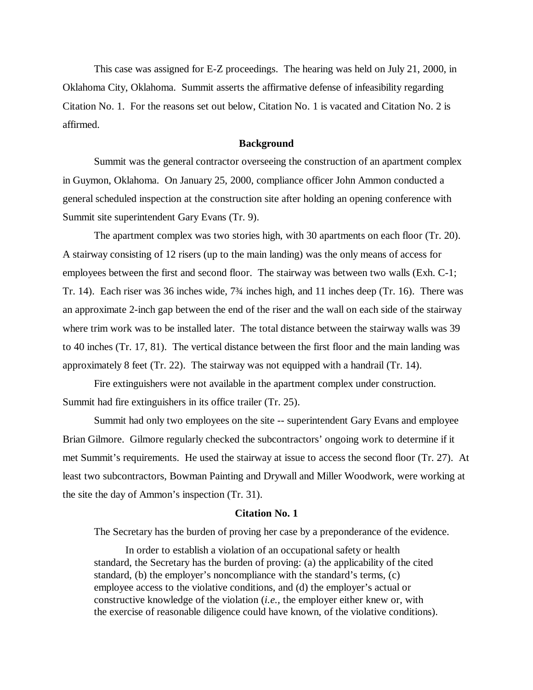This case was assigned for E-Z proceedings. The hearing was held on July 21, 2000, in Oklahoma City, Oklahoma. Summit asserts the affirmative defense of infeasibility regarding Citation No. 1. For the reasons set out below, Citation No. 1 is vacated and Citation No. 2 is affirmed.

#### **Background**

Summit was the general contractor overseeing the construction of an apartment complex in Guymon, Oklahoma. On January 25, 2000, compliance officer John Ammon conducted a general scheduled inspection at the construction site after holding an opening conference with Summit site superintendent Gary Evans (Tr. 9).

The apartment complex was two stories high, with 30 apartments on each floor (Tr. 20). A stairway consisting of 12 risers (up to the main landing) was the only means of access for employees between the first and second floor. The stairway was between two walls (Exh. C-1; Tr. 14). Each riser was 36 inches wide, 7¾ inches high, and 11 inches deep (Tr. 16). There was an approximate 2-inch gap between the end of the riser and the wall on each side of the stairway where trim work was to be installed later. The total distance between the stairway walls was 39 to 40 inches (Tr. 17, 81). The vertical distance between the first floor and the main landing was approximately 8 feet (Tr. 22). The stairway was not equipped with a handrail (Tr. 14).

Fire extinguishers were not available in the apartment complex under construction. Summit had fire extinguishers in its office trailer (Tr. 25).

Summit had only two employees on the site -- superintendent Gary Evans and employee Brian Gilmore. Gilmore regularly checked the subcontractors' ongoing work to determine if it met Summit's requirements. He used the stairway at issue to access the second floor (Tr. 27). At least two subcontractors, Bowman Painting and Drywall and Miller Woodwork, were working at the site the day of Ammon's inspection (Tr. 31).

#### **Citation No. 1**

The Secretary has the burden of proving her case by a preponderance of the evidence.

In order to establish a violation of an occupational safety or health standard, the Secretary has the burden of proving: (a) the applicability of the cited standard, (b) the employer's noncompliance with the standard's terms, (c) employee access to the violative conditions, and (d) the employer's actual or constructive knowledge of the violation (*i.e.,* the employer either knew or, with the exercise of reasonable diligence could have known, of the violative conditions).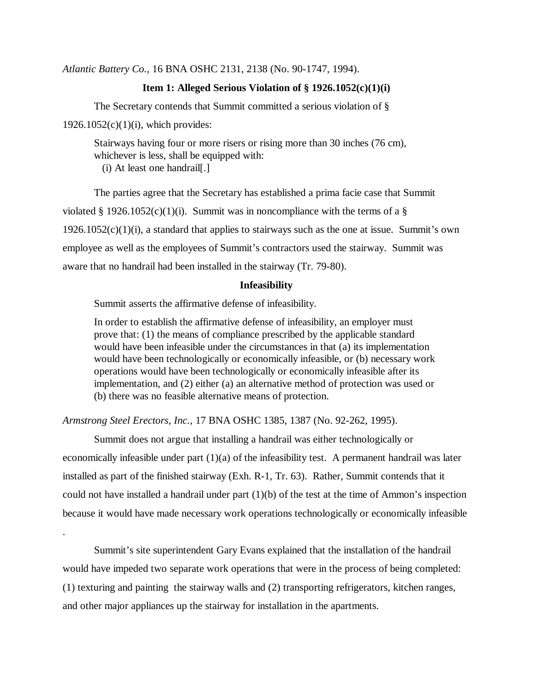*Atlantic Battery Co.,* 16 BNA OSHC 2131, 2138 (No. 90-1747, 1994).

### **Item 1: Alleged Serious Violation of § 1926.1052(c)(1)(i)**

The Secretary contends that Summit committed a serious violation of §  $1926.1052(c)(1)(i)$ , which provides:

Stairways having four or more risers or rising more than 30 inches (76 cm), whichever is less, shall be equipped with: (i) At least one handrail[.]

The parties agree that the Secretary has established a prima facie case that Summit violated § 1926.1052(c)(1)(i). Summit was in noncompliance with the terms of a §  $1926.1052(c)(1)(i)$ , a standard that applies to stairways such as the one at issue. Summit's own employee as well as the employees of Summit's contractors used the stairway. Summit was aware that no handrail had been installed in the stairway (Tr. 79-80).

#### **Infeasibility**

Summit asserts the affirmative defense of infeasibility.

.

In order to establish the affirmative defense of infeasibility, an employer must prove that: (1) the means of compliance prescribed by the applicable standard would have been infeasible under the circumstances in that (a) its implementation would have been technologically or economically infeasible, or (b) necessary work operations would have been technologically or economically infeasible after its implementation, and (2) either (a) an alternative method of protection was used or (b) there was no feasible alternative means of protection.

*Armstrong Steel Erectors, Inc.,* 17 BNA OSHC 1385, 1387 (No. 92-262, 1995).

Summit does not argue that installing a handrail was either technologically or economically infeasible under part  $(1)(a)$  of the infeasibility test. A permanent handrail was later installed as part of the finished stairway (Exh. R-1, Tr. 63). Rather, Summit contends that it could not have installed a handrail under part (1)(b) of the test at the time of Ammon's inspection because it would have made necessary work operations technologically or economically infeasible

Summit's site superintendent Gary Evans explained that the installation of the handrail would have impeded two separate work operations that were in the process of being completed: (1) texturing and painting the stairway walls and (2) transporting refrigerators, kitchen ranges, and other major appliances up the stairway for installation in the apartments.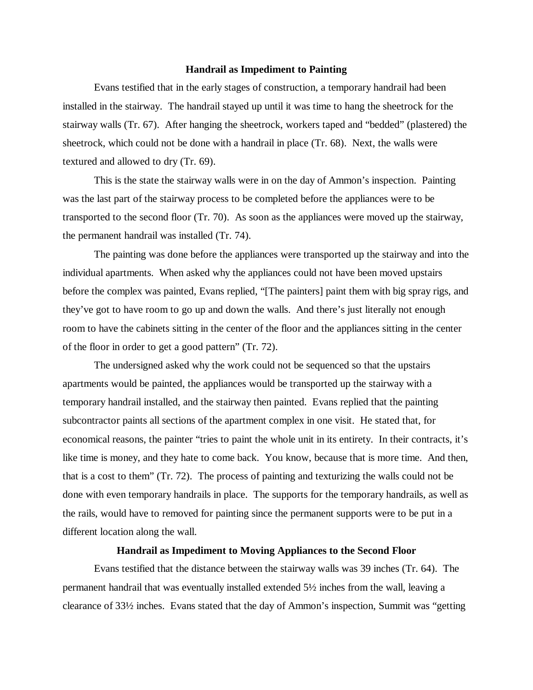#### **Handrail as Impediment to Painting**

Evans testified that in the early stages of construction, a temporary handrail had been installed in the stairway. The handrail stayed up until it was time to hang the sheetrock for the stairway walls (Tr. 67). After hanging the sheetrock, workers taped and "bedded" (plastered) the sheetrock, which could not be done with a handrail in place (Tr. 68). Next, the walls were textured and allowed to dry (Tr. 69).

This is the state the stairway walls were in on the day of Ammon's inspection. Painting was the last part of the stairway process to be completed before the appliances were to be transported to the second floor (Tr. 70). As soon as the appliances were moved up the stairway, the permanent handrail was installed (Tr. 74).

The painting was done before the appliances were transported up the stairway and into the individual apartments. When asked why the appliances could not have been moved upstairs before the complex was painted, Evans replied, "[The painters] paint them with big spray rigs, and they've got to have room to go up and down the walls. And there's just literally not enough room to have the cabinets sitting in the center of the floor and the appliances sitting in the center of the floor in order to get a good pattern" (Tr. 72).

The undersigned asked why the work could not be sequenced so that the upstairs apartments would be painted, the appliances would be transported up the stairway with a temporary handrail installed, and the stairway then painted. Evans replied that the painting subcontractor paints all sections of the apartment complex in one visit. He stated that, for economical reasons, the painter "tries to paint the whole unit in its entirety. In their contracts, it's like time is money, and they hate to come back. You know, because that is more time. And then, that is a cost to them" (Tr. 72). The process of painting and texturizing the walls could not be done with even temporary handrails in place. The supports for the temporary handrails, as well as the rails, would have to removed for painting since the permanent supports were to be put in a different location along the wall.

### **Handrail as Impediment to Moving Appliances to the Second Floor**

Evans testified that the distance between the stairway walls was 39 inches (Tr. 64). The permanent handrail that was eventually installed extended 5½ inches from the wall, leaving a clearance of 33½ inches. Evans stated that the day of Ammon's inspection, Summit was "getting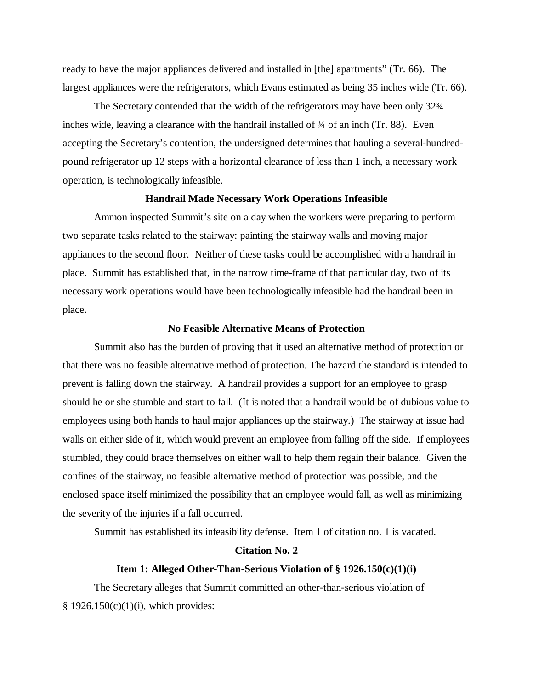ready to have the major appliances delivered and installed in [the] apartments" (Tr. 66). The largest appliances were the refrigerators, which Evans estimated as being 35 inches wide (Tr. 66).

The Secretary contended that the width of the refrigerators may have been only 32¾ inches wide, leaving a clearance with the handrail installed of ¾ of an inch (Tr. 88). Even accepting the Secretary's contention, the undersigned determines that hauling a several-hundredpound refrigerator up 12 steps with a horizontal clearance of less than 1 inch, a necessary work operation, is technologically infeasible.

#### **Handrail Made Necessary Work Operations Infeasible**

Ammon inspected Summit's site on a day when the workers were preparing to perform two separate tasks related to the stairway: painting the stairway walls and moving major appliances to the second floor. Neither of these tasks could be accomplished with a handrail in place. Summit has established that, in the narrow time-frame of that particular day, two of its necessary work operations would have been technologically infeasible had the handrail been in place.

#### **No Feasible Alternative Means of Protection**

Summit also has the burden of proving that it used an alternative method of protection or that there was no feasible alternative method of protection. The hazard the standard is intended to prevent is falling down the stairway. A handrail provides a support for an employee to grasp should he or she stumble and start to fall. (It is noted that a handrail would be of dubious value to employees using both hands to haul major appliances up the stairway.) The stairway at issue had walls on either side of it, which would prevent an employee from falling off the side. If employees stumbled, they could brace themselves on either wall to help them regain their balance. Given the confines of the stairway, no feasible alternative method of protection was possible, and the enclosed space itself minimized the possibility that an employee would fall, as well as minimizing the severity of the injuries if a fall occurred.

Summit has established its infeasibility defense. Item 1 of citation no. 1 is vacated.

## **Citation No. 2**

#### **Item 1: Alleged Other-Than-Serious Violation of § 1926.150(c)(1)(i)**

The Secretary alleges that Summit committed an other-than-serious violation of  $§$  1926.150(c)(1)(i), which provides: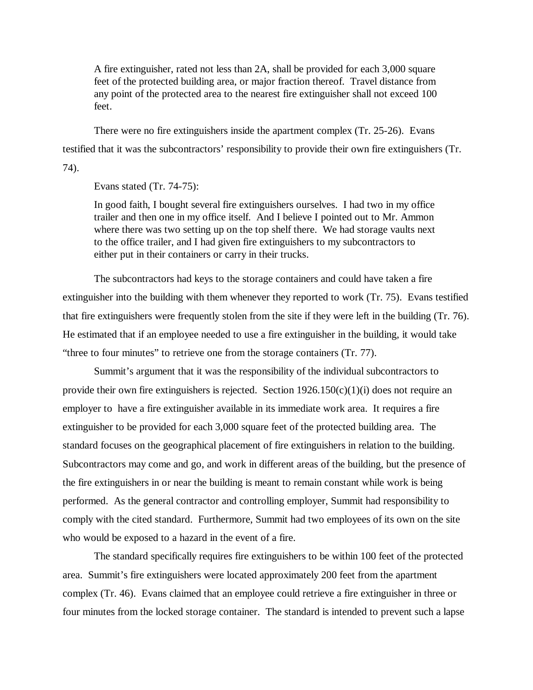A fire extinguisher, rated not less than 2A, shall be provided for each 3,000 square feet of the protected building area, or major fraction thereof. Travel distance from any point of the protected area to the nearest fire extinguisher shall not exceed 100 feet.

There were no fire extinguishers inside the apartment complex (Tr. 25-26). Evans testified that it was the subcontractors' responsibility to provide their own fire extinguishers (Tr. 74).

Evans stated (Tr. 74-75):

In good faith, I bought several fire extinguishers ourselves. I had two in my office trailer and then one in my office itself. And I believe I pointed out to Mr. Ammon where there was two setting up on the top shelf there. We had storage vaults next to the office trailer, and I had given fire extinguishers to my subcontractors to either put in their containers or carry in their trucks.

The subcontractors had keys to the storage containers and could have taken a fire extinguisher into the building with them whenever they reported to work (Tr. 75). Evans testified that fire extinguishers were frequently stolen from the site if they were left in the building (Tr. 76). He estimated that if an employee needed to use a fire extinguisher in the building, it would take "three to four minutes" to retrieve one from the storage containers (Tr. 77).

Summit's argument that it was the responsibility of the individual subcontractors to provide their own fire extinguishers is rejected. Section  $1926.150(c)(1)(i)$  does not require an employer to have a fire extinguisher available in its immediate work area. It requires a fire extinguisher to be provided for each 3,000 square feet of the protected building area. The standard focuses on the geographical placement of fire extinguishers in relation to the building. Subcontractors may come and go, and work in different areas of the building, but the presence of the fire extinguishers in or near the building is meant to remain constant while work is being performed. As the general contractor and controlling employer, Summit had responsibility to comply with the cited standard. Furthermore, Summit had two employees of its own on the site who would be exposed to a hazard in the event of a fire.

The standard specifically requires fire extinguishers to be within 100 feet of the protected area. Summit's fire extinguishers were located approximately 200 feet from the apartment complex (Tr. 46). Evans claimed that an employee could retrieve a fire extinguisher in three or four minutes from the locked storage container. The standard is intended to prevent such a lapse